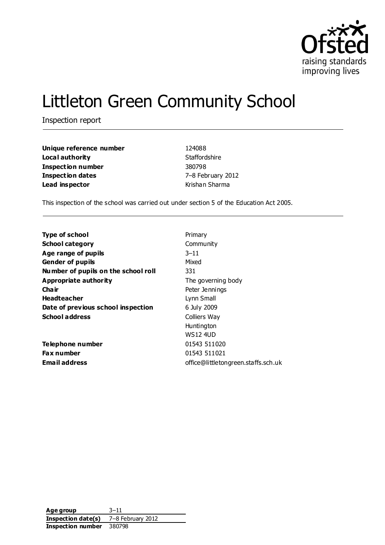

# Littleton Green Community School

Inspection report

| Unique reference number  | 124088          |
|--------------------------|-----------------|
| Local authority          | Staffordshire   |
| <b>Inspection number</b> | 380798          |
| <b>Inspection dates</b>  | 7-8 February 20 |
| Lead inspector           | Krishan Sharma  |

**Unique reference number** 124088 **Staffordshire Inspection number** 380798 **Inspection dates** 7–8 February 2012

This inspection of the school was carried out under section 5 of the Education Act 2005.

| <b>Type of school</b>               | Primary                             |
|-------------------------------------|-------------------------------------|
| <b>School category</b>              | Community                           |
| Age range of pupils                 | $3 - 11$                            |
| <b>Gender of pupils</b>             | Mixed                               |
| Number of pupils on the school roll | 331                                 |
| Appropriate authority               | The governing body                  |
| Cha ir                              | Peter Jennings                      |
| <b>Headteacher</b>                  | Lynn Small                          |
| Date of previous school inspection  | 6 July 2009                         |
| <b>School address</b>               | Colliers Way                        |
|                                     | Huntington                          |
|                                     | <b>WS12 4UD</b>                     |
| Telephone number                    | 01543 511020                        |
| Fax number                          | 01543 511021                        |
| Email address                       | office@littletongreen.staffs.sch.uk |

**Age group** 3–11 **Inspection date(s)** 7–8 February 2012 **Inspection number** 380798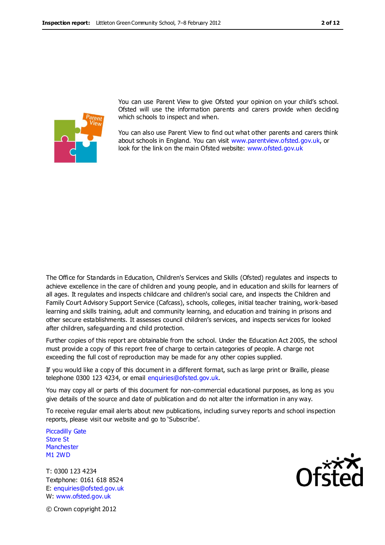

You can use Parent View to give Ofsted your opinion on your child's school. Ofsted will use the information parents and carers provide when deciding which schools to inspect and when.

You can also use Parent View to find out what other parents and carers think about schools in England. You can visit [www.parentview.ofsted.gov.uk,](http://www.parentview.ofsted.gov.uk/) or look for the link on the main Ofsted website: [www.ofsted.gov.uk](http://www.ofsted.gov.uk/)

The Office for Standards in Education, Children's Services and Skills (Ofsted) regulates and inspects to achieve excellence in the care of children and young people, and in education and skills for learners of all ages. It regulates and inspects childcare and children's social care, and inspects the Children and Family Court Advisory Support Service (Cafcass), schools, colleges, initial teacher training, work-based learning and skills training, adult and community learning, and education and training in prisons and other secure establishments. It assesses council children's services, and inspects services for looked after children, safeguarding and child protection.

Further copies of this report are obtainable from the school. Under the Education Act 2005, the school must provide a copy of this report free of charge to certain categories of people. A charge not exceeding the full cost of reproduction may be made for any other copies supplied.

If you would like a copy of this document in a different format, such as large print or Braille, please telephone 0300 123 4234, or email enquiries@ofsted.gov.uk.

You may copy all or parts of this document for non-commercial educational purposes, as long as you give details of the source and date of publication and do not alter the information in any way.

To receive regular email alerts about new publications, including survey reports and school inspection reports, please visit our website and go to 'Subscribe'.

Piccadilly Gate Store St **Manchester** M1 2WD

T: 0300 123 4234 Textphone: 0161 618 8524 E: enquiries@ofsted.gov.uk W: www.ofsted.gov.uk



© Crown copyright 2012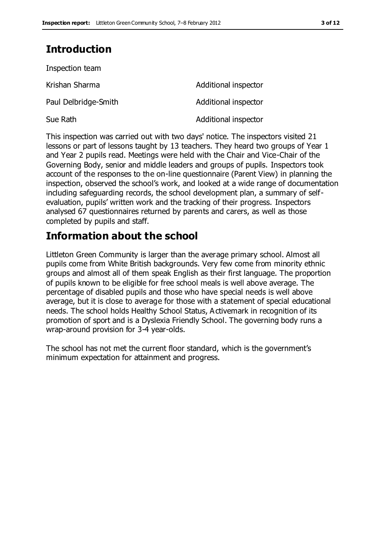# **Introduction**

| Inspection team      |                      |
|----------------------|----------------------|
| Krishan Sharma       | Additional inspector |
| Paul Delbridge-Smith | Additional inspector |
| Sue Rath             | Additional inspector |

This inspection was carried out with two days' notice. The inspectors visited 21 lessons or part of lessons taught by 13 teachers. They heard two groups of Year 1 and Year 2 pupils read. Meetings were held with the Chair and Vice-Chair of the Governing Body, senior and middle leaders and groups of pupils. Inspectors took account of the responses to the on-line questionnaire (Parent View) in planning the inspection, observed the school's work, and looked at a wide range of documentation including safeguarding records, the school development plan, a summary of selfevaluation, pupils' written work and the tracking of their progress. Inspectors analysed 67 questionnaires returned by parents and carers, as well as those completed by pupils and staff.

# **Information about the school**

Littleton Green Community is larger than the average primary school. Almost all pupils come from White British backgrounds. Very few come from minority ethnic groups and almost all of them speak English as their first language. The proportion of pupils known to be eligible for free school meals is well above average. The percentage of disabled pupils and those who have special needs is well above average, but it is close to average for those with a statement of special educational needs. The school holds Healthy School Status, Activemark in recognition of its promotion of sport and is a Dyslexia Friendly School. The governing body runs a wrap-around provision for 3-4 year-olds.

The school has not met the current floor standard, which is the government's minimum expectation for attainment and progress.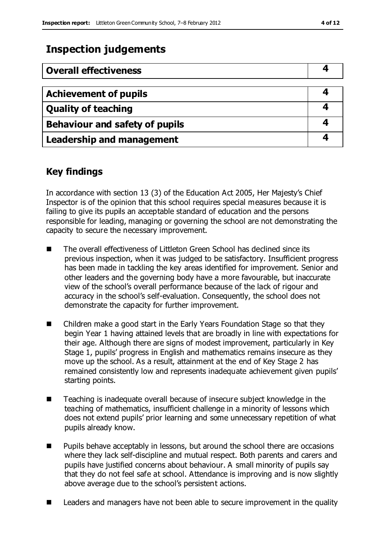# **Inspection judgements**

| <b>Overall effectiveness</b>     |  |
|----------------------------------|--|
|                                  |  |
| <b>Achievement of pupils</b>     |  |
| <b>Quality of teaching</b>       |  |
| Behaviour and safety of pupils   |  |
| <b>Leadership and management</b> |  |

### **Key findings**

In accordance with section 13 (3) of the Education Act 2005, Her Majesty's Chief Inspector is of the opinion that this school requires special measures because it is failing to give its pupils an acceptable standard of education and the persons responsible for leading, managing or governing the school are not demonstrating the capacity to secure the necessary improvement.

- The overall effectiveness of Littleton Green School has declined since its previous inspection, when it was judged to be satisfactory. Insufficient progress has been made in tackling the key areas identified for improvement. Senior and other leaders and the governing body have a more favourable, but inaccurate view of the school's overall performance because of the lack of rigour and accuracy in the school's self-evaluation. Consequently, the school does not demonstrate the capacity for further improvement.
- Children make a good start in the Early Years Foundation Stage so that they begin Year 1 having attained levels that are broadly in line with expectations for their age. Although there are signs of modest improvement, particularly in Key Stage 1, pupils' progress in English and mathematics remains insecure as they move up the school. As a result, attainment at the end of Key Stage 2 has remained consistently low and represents inadequate achievement given pupils' starting points.
- Teaching is inadequate overall because of insecure subject knowledge in the teaching of mathematics, insufficient challenge in a minority of lessons which does not extend pupils' prior learning and some unnecessary repetition of what pupils already know.
- **Pupils behave acceptably in lessons, but around the school there are occasions** where they lack self-discipline and mutual respect. Both parents and carers and pupils have justified concerns about behaviour. A small minority of pupils say that they do not feel safe at school. Attendance is improving and is now slightly above average due to the school's persistent actions.
- Leaders and managers have not been able to secure improvement in the quality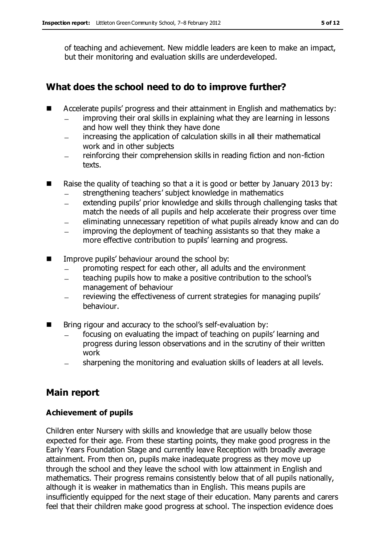of teaching and achievement. New middle leaders are keen to make an impact, but their monitoring and evaluation skills are underdeveloped.

#### **What does the school need to do to improve further?**

- Accelerate pupils' progress and their attainment in English and mathematics by:
	- improving their oral skills in explaining what they are learning in lessons and how well they think they have done
	- increasing the application of calculation skills in all their mathematical work and in other subjects
	- reinforcing their comprehension skills in reading fiction and non-fiction texts.
- Raise the quality of teaching so that a it is good or better by January 2013 by:
	- strengthening teachers' subject knowledge in mathematics
	- extending pupils' prior knowledge and skills through challenging tasks that match the needs of all pupils and help accelerate their progress over time
	- eliminating unnecessary repetition of what pupils already know and can do
	- improving the deployment of teaching assistants so that they make a  $\equiv$ more effective contribution to pupils' learning and progress.
- **IMPROVE PUPILS' behaviour around the school by:** 
	- promoting respect for each other, all adults and the environment
	- teaching pupils how to make a positive contribution to the school's  $\equiv$ management of behaviour
	- reviewing the effectiveness of current strategies for managing pupils' behaviour.
- Bring rigour and accuracy to the school's self-evaluation by:
	- focusing on evaluating the impact of teaching on pupils' learning and progress during lesson observations and in the scrutiny of their written work
	- sharpening the monitoring and evaluation skills of leaders at all levels.

## **Main report**

#### **Achievement of pupils**

Children enter Nursery with skills and knowledge that are usually below those expected for their age. From these starting points, they make good progress in the Early Years Foundation Stage and currently leave Reception with broadly average attainment. From then on, pupils make inadequate progress as they move up through the school and they leave the school with low attainment in English and mathematics. Their progress remains consistently below that of all pupils nationally, although it is weaker in mathematics than in English. This means pupils are insufficiently equipped for the next stage of their education. Many parents and carers feel that their children make good progress at school. The inspection evidence does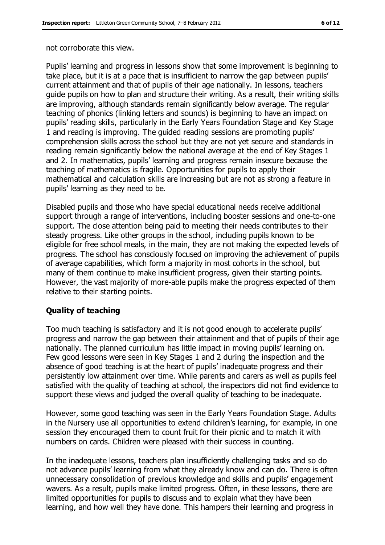not corroborate this view.

Pupils' learning and progress in lessons show that some improvement is beginning to take place, but it is at a pace that is insufficient to narrow the gap between pupils' current attainment and that of pupils of their age nationally. In lessons, teachers guide pupils on how to plan and structure their writing. As a result, their writing skills are improving, although standards remain significantly below average. The regular teaching of phonics (linking letters and sounds) is beginning to have an impact on pupils' reading skills, particularly in the Early Years Foundation Stage and Key Stage 1 and reading is improving. The guided reading sessions are promoting pupils' comprehension skills across the school but they are not yet secure and standards in reading remain significantly below the national average at the end of Key Stages 1 and 2. In mathematics, pupils' learning and progress remain insecure because the teaching of mathematics is fragile. Opportunities for pupils to apply their mathematical and calculation skills are increasing but are not as strong a feature in pupils' learning as they need to be.

Disabled pupils and those who have special educational needs receive additional support through a range of interventions, including booster sessions and one-to-one support. The close attention being paid to meeting their needs contributes to their steady progress. Like other groups in the school, including pupils known to be eligible for free school meals, in the main, they are not making the expected levels of progress. The school has consciously focused on improving the achievement of pupils of average capabilities, which form a majority in most cohorts in the school, but many of them continue to make insufficient progress, given their starting points. However, the vast majority of more-able pupils make the progress expected of them relative to their starting points.

#### **Quality of teaching**

Too much teaching is satisfactory and it is not good enough to accelerate pupils' progress and narrow the gap between their attainment and that of pupils of their age nationally. The planned curriculum has little impact in moving pupils' learning on. Few good lessons were seen in Key Stages 1 and 2 during the inspection and the absence of good teaching is at the heart of pupils' inadequate progress and their persistently low attainment over time. While parents and carers as well as pupils feel satisfied with the quality of teaching at school, the inspectors did not find evidence to support these views and judged the overall quality of teaching to be inadequate.

However, some good teaching was seen in the Early Years Foundation Stage. Adults in the Nursery use all opportunities to extend children's learning, for example, in one session they encouraged them to count fruit for their picnic and to match it with numbers on cards. Children were pleased with their success in counting.

In the inadequate lessons, teachers plan insufficiently challenging tasks and so do not advance pupils' learning from what they already know and can do. There is often unnecessary consolidation of previous knowledge and skills and pupils' engagement wavers. As a result, pupils make limited progress. Often, in these lessons, there are limited opportunities for pupils to discuss and to explain what they have been learning, and how well they have done. This hampers their learning and progress in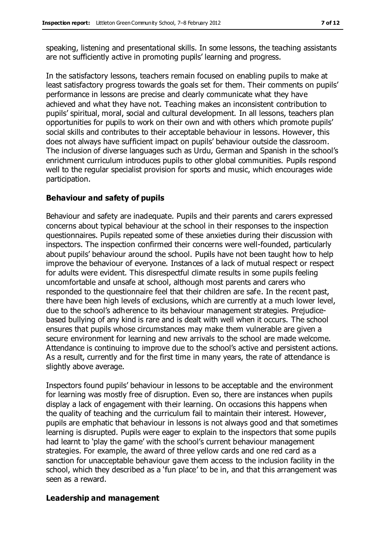speaking, listening and presentational skills. In some lessons, the teaching assistants are not sufficiently active in promoting pupils' learning and progress.

In the satisfactory lessons, teachers remain focused on enabling pupils to make at least satisfactory progress towards the goals set for them. Their comments on pupils' performance in lessons are precise and clearly communicate what they have achieved and what they have not. Teaching makes an inconsistent contribution to pupils' spiritual, moral, social and cultural development. In all lessons, teachers plan opportunities for pupils to work on their own and with others which promote pupils' social skills and contributes to their acceptable behaviour in lessons. However, this does not always have sufficient impact on pupils' behaviour outside the classroom. The inclusion of diverse languages such as Urdu, German and Spanish in the school's enrichment curriculum introduces pupils to other global communities. Pupils respond well to the regular specialist provision for sports and music, which encourages wide participation.

#### **Behaviour and safety of pupils**

Behaviour and safety are inadequate. Pupils and their parents and carers expressed concerns about typical behaviour at the school in their responses to the inspection questionnaires. Pupils repeated some of these anxieties during their discussion with inspectors. The inspection confirmed their concerns were well-founded, particularly about pupils' behaviour around the school. Pupils have not been taught how to help improve the behaviour of everyone. Instances of a lack of mutual respect or respect for adults were evident. This disrespectful climate results in some pupils feeling uncomfortable and unsafe at school, although most parents and carers who responded to the questionnaire feel that their children are safe. In the recent past, there have been high levels of exclusions, which are currently at a much lower level, due to the school's adherence to its behaviour management strategies. Prejudicebased bullying of any kind is rare and is dealt with well when it occurs. The school ensures that pupils whose circumstances may make them vulnerable are given a secure environment for learning and new arrivals to the school are made welcome. Attendance is continuing to improve due to the school's active and persistent actions. As a result, currently and for the first time in many years, the rate of attendance is slightly above average.

Inspectors found pupils' behaviour in lessons to be acceptable and the environment for learning was mostly free of disruption. Even so, there are instances when pupils display a lack of engagement with their learning. On occasions this happens when the quality of teaching and the curriculum fail to maintain their interest. However, pupils are emphatic that behaviour in lessons is not always good and that sometimes learning is disrupted. Pupils were eager to explain to the inspectors that some pupils had learnt to 'play the game' with the school's current behaviour management strategies. For example, the award of three yellow cards and one red card as a sanction for unacceptable behaviour gave them access to the inclusion facility in the school, which they described as a 'fun place' to be in, and that this arrangement was seen as a reward.

#### **Leadership and management**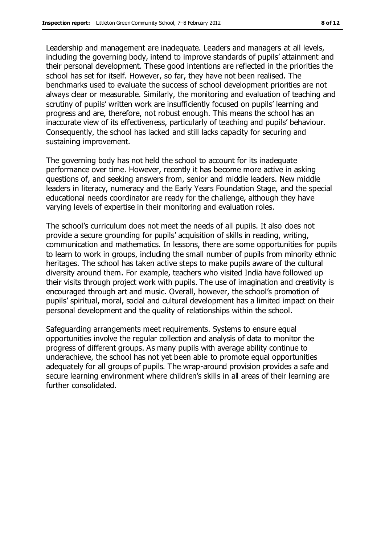Leadership and management are inadequate. Leaders and managers at all levels, including the governing body, intend to improve standards of pupils' attainment and

their personal development. These good intentions are reflected in the priorities the school has set for itself. However, so far, they have not been realised. The benchmarks used to evaluate the success of school development priorities are not always clear or measurable. Similarly, the monitoring and evaluation of teaching and scrutiny of pupils' written work are insufficiently focused on pupils' learning and progress and are, therefore, not robust enough. This means the school has an inaccurate view of its effectiveness, particularly of teaching and pupils' behaviour. Consequently, the school has lacked and still lacks capacity for securing and sustaining improvement.

The governing body has not held the school to account for its inadequate performance over time. However, recently it has become more active in asking questions of, and seeking answers from, senior and middle leaders. New middle leaders in literacy, numeracy and the Early Years Foundation Stage, and the special educational needs coordinator are ready for the challenge, although they have varying levels of expertise in their monitoring and evaluation roles.

The school's curriculum does not meet the needs of all pupils. It also does not provide a secure grounding for pupils' acquisition of skills in reading, writing, communication and mathematics. In lessons, there are some opportunities for pupils to learn to work in groups, including the small number of pupils from minority ethnic heritages. The school has taken active steps to make pupils aware of the cultural diversity around them. For example, teachers who visited India have followed up their visits through project work with pupils. The use of imagination and creativity is encouraged through art and music. Overall, however, the school's promotion of pupils' spiritual, moral, social and cultural development has a limited impact on their personal development and the quality of relationships within the school.

Safeguarding arrangements meet requirements. Systems to ensure equal opportunities involve the regular collection and analysis of data to monitor the progress of different groups. As many pupils with average ability continue to underachieve, the school has not yet been able to promote equal opportunities adequately for all groups of pupils. The wrap-around provision provides a safe and secure learning environment where children's skills in all areas of their learning are further consolidated.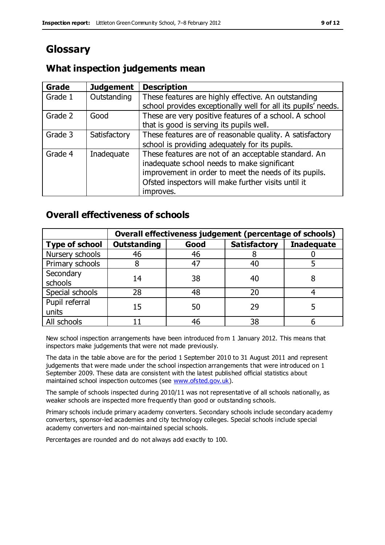# **Glossary**

#### **What inspection judgements mean**

| <b>Grade</b> | <b>Judgement</b> | <b>Description</b>                                                                                                                                                                                                               |
|--------------|------------------|----------------------------------------------------------------------------------------------------------------------------------------------------------------------------------------------------------------------------------|
| Grade 1      | Outstanding      | These features are highly effective. An outstanding<br>school provides exceptionally well for all its pupils' needs.                                                                                                             |
| Grade 2      | Good             | These are very positive features of a school. A school<br>that is good is serving its pupils well.                                                                                                                               |
| Grade 3      | Satisfactory     | These features are of reasonable quality. A satisfactory<br>school is providing adequately for its pupils.                                                                                                                       |
| Grade 4      | Inadequate       | These features are not of an acceptable standard. An<br>inadequate school needs to make significant<br>improvement in order to meet the needs of its pupils.<br>Ofsted inspectors will make further visits until it<br>improves. |

#### **Overall effectiveness of schools**

|                         | Overall effectiveness judgement (percentage of schools) |      |                     |                   |
|-------------------------|---------------------------------------------------------|------|---------------------|-------------------|
| <b>Type of school</b>   | <b>Outstanding</b>                                      | Good | <b>Satisfactory</b> | <b>Inadequate</b> |
| Nursery schools         | 46                                                      | 46   |                     |                   |
| Primary schools         |                                                         | 47   | 40                  |                   |
| Secondary<br>schools    | 14                                                      | 38   | 40                  |                   |
| Special schools         | 28                                                      | 48   | 20                  |                   |
| Pupil referral<br>units | 15                                                      | 50   | 29                  |                   |
| All schools             |                                                         | 46   | 38                  |                   |

New school inspection arrangements have been introduced fro m 1 January 2012. This means that inspectors make judgements that were not made previously.

The data in the table above are for the period 1 September 2010 to 31 August 2011 and represent judgements that were made under the school inspection arrangements that were introduced on 1 September 2009. These data are consistent with the latest published official statistics about maintained school inspection outcomes (see [www.ofsted.gov.uk\)](http://www.ofsted.gov.uk/).

The sample of schools inspected during 2010/11 was not representative of all schools nationally, as weaker schools are inspected more frequently than good or outstanding schools.

Primary schools include primary academy converters. Secondary schools include secondary academy converters, sponsor-led academies and city technology colleges. Special schools include special academy converters and non-maintained special schools.

Percentages are rounded and do not always add exactly to 100.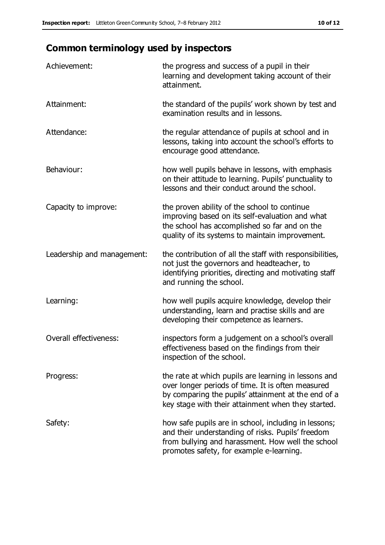# **Common terminology used by inspectors**

| Achievement:                  | the progress and success of a pupil in their<br>learning and development taking account of their<br>attainment.                                                                                                        |
|-------------------------------|------------------------------------------------------------------------------------------------------------------------------------------------------------------------------------------------------------------------|
| Attainment:                   | the standard of the pupils' work shown by test and<br>examination results and in lessons.                                                                                                                              |
| Attendance:                   | the regular attendance of pupils at school and in<br>lessons, taking into account the school's efforts to<br>encourage good attendance.                                                                                |
| Behaviour:                    | how well pupils behave in lessons, with emphasis<br>on their attitude to learning. Pupils' punctuality to<br>lessons and their conduct around the school.                                                              |
| Capacity to improve:          | the proven ability of the school to continue<br>improving based on its self-evaluation and what<br>the school has accomplished so far and on the<br>quality of its systems to maintain improvement.                    |
| Leadership and management:    | the contribution of all the staff with responsibilities,<br>not just the governors and headteacher, to<br>identifying priorities, directing and motivating staff<br>and running the school.                            |
| Learning:                     | how well pupils acquire knowledge, develop their<br>understanding, learn and practise skills and are<br>developing their competence as learners.                                                                       |
| <b>Overall effectiveness:</b> | inspectors form a judgement on a school's overall<br>effectiveness based on the findings from their<br>inspection of the school.                                                                                       |
| Progress:                     | the rate at which pupils are learning in lessons and<br>over longer periods of time. It is often measured<br>by comparing the pupils' attainment at the end of a<br>key stage with their attainment when they started. |
| Safety:                       | how safe pupils are in school, including in lessons;<br>and their understanding of risks. Pupils' freedom<br>from bullying and harassment. How well the school<br>promotes safety, for example e-learning.             |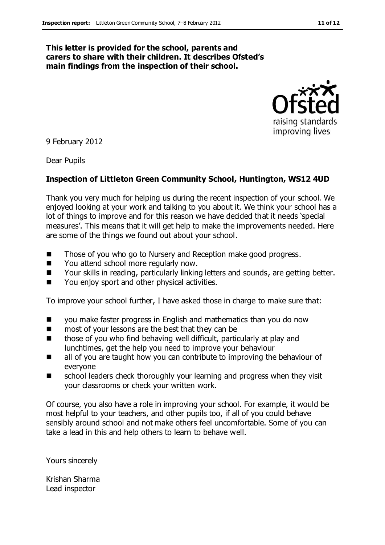#### **This letter is provided for the school, parents and carers to share with their children. It describes Ofsted's main findings from the inspection of their school.**



9 February 2012

Dear Pupils

#### **Inspection of Littleton Green Community School, Huntington, WS12 4UD**

Thank you very much for helping us during the recent inspection of your school. We enjoyed looking at your work and talking to you about it. We think your school has a lot of things to improve and for this reason we have decided that it needs 'special measures'. This means that it will get help to make the improvements needed. Here are some of the things we found out about your school.

- Those of you who go to Nursery and Reception make good progress.
- You attend school more regularly now.
- Your skills in reading, particularly linking letters and sounds, are getting better.
- You enjoy sport and other physical activities.

To improve your school further, I have asked those in charge to make sure that:

- you make faster progress in English and mathematics than you do now
- most of your lessons are the best that they can be
- those of you who find behaving well difficult, particularly at play and lunchtimes, get the help you need to improve your behaviour
- all of you are taught how you can contribute to improving the behaviour of everyone
- school leaders check thoroughly your learning and progress when they visit your classrooms or check your written work.

Of course, you also have a role in improving your school. For example, it would be most helpful to your teachers, and other pupils too, if all of you could behave sensibly around school and not make others feel uncomfortable. Some of you can take a lead in this and help others to learn to behave well.

Yours sincerely

Krishan Sharma Lead inspector